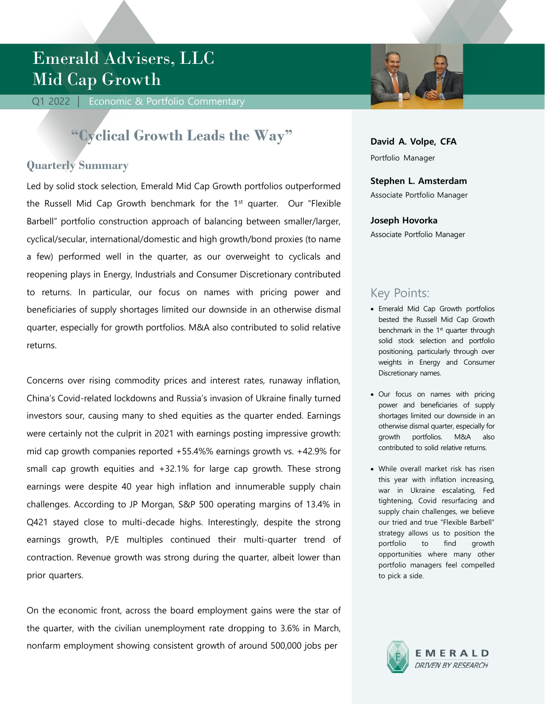# Emerald Advisers, LLC Mid Cap Growth

Q1 2022 | Economic & Portfolio Commentary

## **"Cyclical Growth Leads the Way"**

### **Quarterly Summary**

Led by solid stock selection, Emerald Mid Cap Growth portfolios outperformed the Russell Mid Cap Growth benchmark for the  $1<sup>st</sup>$  quarter. Our "Flexible Barbell" portfolio construction approach of balancing between smaller/larger, cyclical/secular, international/domestic and high growth/bond proxies (to name a few) performed well in the quarter, as our overweight to cyclicals and reopening plays in Energy, Industrials and Consumer Discretionary contributed to returns. In particular, our focus on names with pricing power and beneficiaries of supply shortages limited our downside in an otherwise dismal quarter, especially for growth portfolios. M&A also contributed to solid relative returns.

Concerns over rising commodity prices and interest rates, runaway inflation, China's Covid-related lockdowns and Russia's invasion of Ukraine finally turned investors sour, causing many to shed equities as the quarter ended. Earnings were certainly not the culprit in 2021 with earnings posting impressive growth: mid cap growth companies reported +55.4%% earnings growth vs. +42.9% for small cap growth equities and +32.1% for large cap growth. These strong earnings were despite 40 year high inflation and innumerable supply chain challenges. According to JP Morgan, S&P 500 operating margins of 13.4% in Q421 stayed close to multi-decade highs. Interestingly, despite the strong earnings growth, P/E multiples continued their multi-quarter trend of contraction. Revenue growth was strong during the quarter, albeit lower than prior quarters.

On the economic front, across the board employment gains were the star of the quarter, with the civilian unemployment rate dropping to 3.6% in March, nonfarm employment showing consistent growth of around 500,000 jobs per



**David A. Volpe, CFA** Portfolio Manager

## **Stephen L. Amsterdam**

Associate Portfolio Manager

#### **Joseph Hovorka**

Associate Portfolio Manager

## Key Points:

- Emerald Mid Cap Growth portfolios bested the Russell Mid Cap Growth benchmark in the  $1<sup>st</sup>$  quarter through solid stock selection and portfolio positioning, particularly through over weights in Energy and Consumer Discretionary names.
- Our focus on names with pricing power and beneficiaries of supply shortages limited our downside in an otherwise dismal quarter, especially for growth portfolios. M&A also contributed to solid relative returns.
- While overall market risk has risen this year with inflation increasing, war in Ukraine escalating, Fed tightening, Covid resurfacing and supply chain challenges, we believe our tried and true "Flexible Barbell" strategy allows us to position the portfolio to find growth opportunities where many other portfolio managers feel compelled to pick a side.

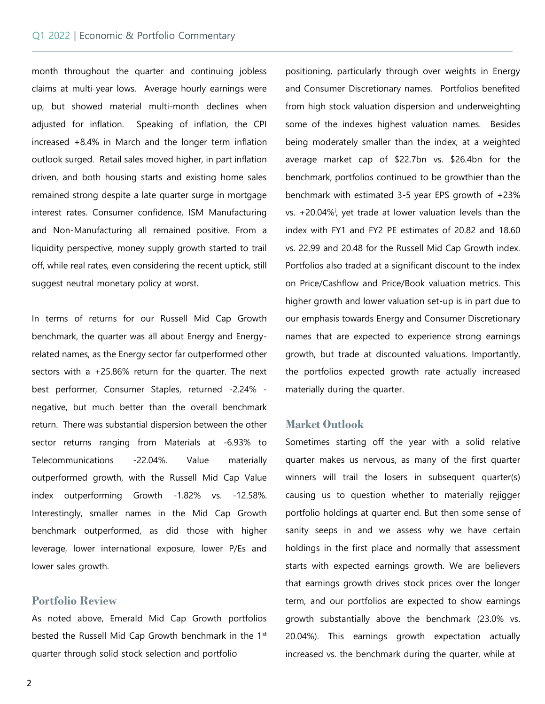#### Q1 2022 | Economic & Portfolio Commentary

Commentary

month throughout the quarter and continuing jobless claims at multi-year lows. Average hourly earnings were up, but showed material multi-month declines when adjusted for inflation. Speaking of inflation, the CPI increased +8.4% in March and the longer term inflation outlook surged. Retail sales moved higher, in part inflation driven, and both housing starts and existing home sales remained strong despite a late quarter surge in mortgage interest rates. Consumer confidence, ISM Manufacturing and Non-Manufacturing all remained positive. From a liquidity perspective, money supply growth started to trail off, while real rates, even considering the recent uptick, still suggest neutral monetary policy at worst.

In terms of returns for our Russell Mid Cap Growth benchmark, the quarter was all about Energy and Energyrelated names, as the Energy sector far outperformed other sectors with a +25.86% return for the quarter. The next best performer, Consumer Staples, returned -2.24% negative, but much better than the overall benchmark return. There was substantial dispersion between the other sector returns ranging from Materials at -6.93% to Telecommunications -22.04%. Value materially outperformed growth, with the Russell Mid Cap Value index outperforming Growth -1.82% vs. -12.58%. Interestingly, smaller names in the Mid Cap Growth benchmark outperformed, as did those with higher leverage, lower international exposure, lower P/Es and lower sales growth.

#### **Portfolio Review**

As noted above, Emerald Mid Cap Growth portfolios bested the Russell Mid Cap Growth benchmark in the 1st quarter through solid stock selection and portfolio

positioning, particularly through over weights in Energy and Consumer Discretionary names. Portfolios benefited from high stock valuation dispersion and underweighting some of the indexes highest valuation names. Besides being moderately smaller than the index, at a weighted average market cap of \$22.7bn vs. \$26.4bn for the benchmark, portfolios continued to be growthier than the benchmark with estimated 3-5 year EPS growth of +23% vs. +20.04%<sup>i</sup>, yet trade at lower valuation levels than the index with FY1 and FY2 PE estimates of 20.82 and 18.60 vs. 22.99 and 20.48 for the Russell Mid Cap Growth index. Portfolios also traded at a significant discount to the index on Price/Cashflow and Price/Book valuation metrics. This higher growth and lower valuation set-up is in part due to our emphasis towards Energy and Consumer Discretionary names that are expected to experience strong earnings growth, but trade at discounted valuations. Importantly, the portfolios expected growth rate actually increased materially during the quarter.

#### **Market Outlook**

Sometimes starting off the year with a solid relative quarter makes us nervous, as many of the first quarter winners will trail the losers in subsequent quarter(s) causing us to question whether to materially rejigger portfolio holdings at quarter end. But then some sense of sanity seeps in and we assess why we have certain holdings in the first place and normally that assessment starts with expected earnings growth. We are believers that earnings growth drives stock prices over the longer term, and our portfolios are expected to show earnings growth substantially above the benchmark (23.0% vs. 20.04%). This earnings growth expectation actually increased vs. the benchmark during the quarter, while at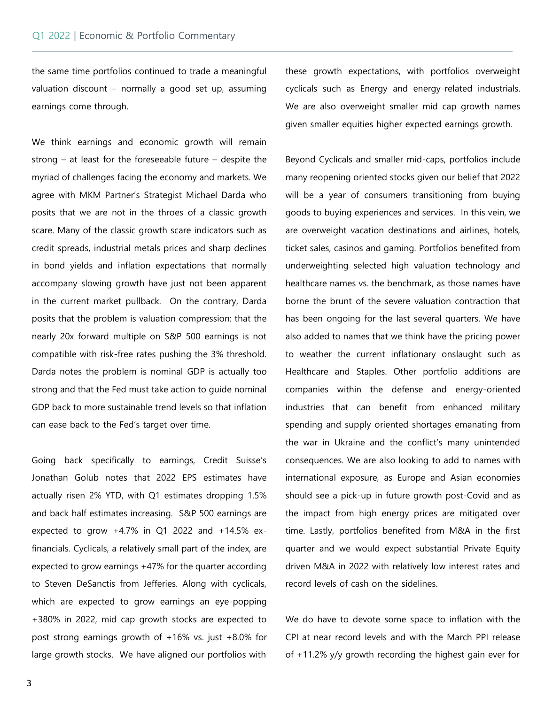Commentary

the same time portfolios continued to trade a meaningful valuation discount – normally a good set up, assuming earnings come through.

We think earnings and economic growth will remain strong – at least for the foreseeable future – despite the myriad of challenges facing the economy and markets. We agree with MKM Partner's Strategist Michael Darda who posits that we are not in the throes of a classic growth scare. Many of the classic growth scare indicators such as credit spreads, industrial metals prices and sharp declines in bond yields and inflation expectations that normally accompany slowing growth have just not been apparent in the current market pullback. On the contrary, Darda posits that the problem is valuation compression: that the nearly 20x forward multiple on S&P 500 earnings is not compatible with risk-free rates pushing the 3% threshold. Darda notes the problem is nominal GDP is actually too strong and that the Fed must take action to guide nominal GDP back to more sustainable trend levels so that inflation can ease back to the Fed's target over time.

Going back specifically to earnings, Credit Suisse's Jonathan Golub notes that 2022 EPS estimates have actually risen 2% YTD, with Q1 estimates dropping 1.5% and back half estimates increasing. S&P 500 earnings are expected to grow  $+4.7\%$  in Q1 2022 and  $+14.5\%$  exfinancials. Cyclicals, a relatively small part of the index, are expected to grow earnings +47% for the quarter according to Steven DeSanctis from Jefferies. Along with cyclicals, which are expected to grow earnings an eye-popping +380% in 2022, mid cap growth stocks are expected to post strong earnings growth of +16% vs. just +8.0% for large growth stocks. We have aligned our portfolios with

these growth expectations, with portfolios overweight cyclicals such as Energy and energy-related industrials. We are also overweight smaller mid cap growth names given smaller equities higher expected earnings growth.

Beyond Cyclicals and smaller mid-caps, portfolios include many reopening oriented stocks given our belief that 2022 will be a year of consumers transitioning from buying goods to buying experiences and services. In this vein, we are overweight vacation destinations and airlines, hotels, ticket sales, casinos and gaming. Portfolios benefited from underweighting selected high valuation technology and healthcare names vs. the benchmark, as those names have borne the brunt of the severe valuation contraction that has been ongoing for the last several quarters. We have also added to names that we think have the pricing power to weather the current inflationary onslaught such as Healthcare and Staples. Other portfolio additions are companies within the defense and energy-oriented industries that can benefit from enhanced military spending and supply oriented shortages emanating from the war in Ukraine and the conflict's many unintended consequences. We are also looking to add to names with international exposure, as Europe and Asian economies should see a pick-up in future growth post-Covid and as the impact from high energy prices are mitigated over time. Lastly, portfolios benefited from M&A in the first quarter and we would expect substantial Private Equity driven M&A in 2022 with relatively low interest rates and record levels of cash on the sidelines.

We do have to devote some space to inflation with the CPI at near record levels and with the March PPI release of +11.2% y/y growth recording the highest gain ever for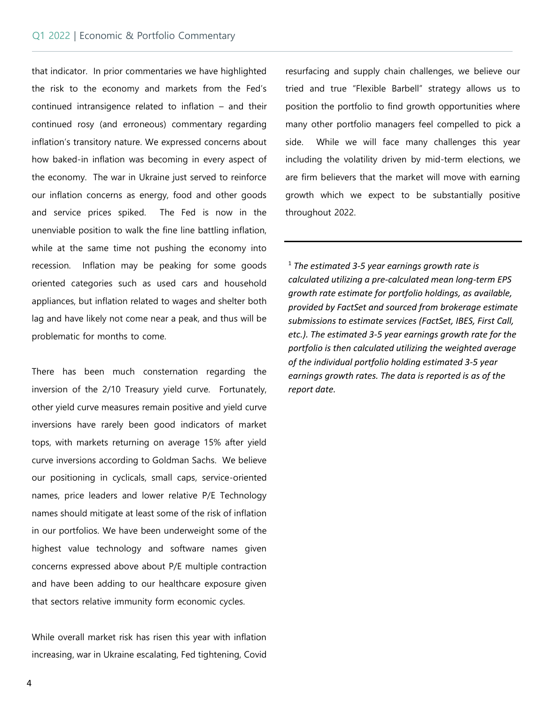Commentary

that indicator. In prior commentaries we have highlighted the risk to the economy and markets from the Fed's continued intransigence related to inflation – and their continued rosy (and erroneous) commentary regarding inflation's transitory nature. We expressed concerns about how baked-in inflation was becoming in every aspect of the economy. The war in Ukraine just served to reinforce our inflation concerns as energy, food and other goods and service prices spiked. The Fed is now in the unenviable position to walk the fine line battling inflation, while at the same time not pushing the economy into recession. Inflation may be peaking for some goods oriented categories such as used cars and household appliances, but inflation related to wages and shelter both lag and have likely not come near a peak, and thus will be problematic for months to come.

There has been much consternation regarding the inversion of the 2/10 Treasury yield curve. Fortunately, other yield curve measures remain positive and yield curve inversions have rarely been good indicators of market tops, with markets returning on average 15% after yield curve inversions according to Goldman Sachs. We believe our positioning in cyclicals, small caps, service-oriented names, price leaders and lower relative P/E Technology names should mitigate at least some of the risk of inflation in our portfolios. We have been underweight some of the highest value technology and software names given concerns expressed above about P/E multiple contraction and have been adding to our healthcare exposure given that sectors relative immunity form economic cycles.

While overall market risk has risen this year with inflation increasing, war in Ukraine escalating, Fed tightening, Covid resurfacing and supply chain challenges, we believe our tried and true "Flexible Barbell" strategy allows us to position the portfolio to find growth opportunities where many other portfolio managers feel compelled to pick a side. While we will face many challenges this year including the volatility driven by mid-term elections, we are firm believers that the market will move with earning growth which we expect to be substantially positive throughout 2022.

<sup>1</sup> *The estimated 3-5 year earnings growth rate is calculated utilizing a pre-calculated mean long-term EPS growth rate estimate for portfolio holdings, as available, provided by FactSet and sourced from brokerage estimate submissions to estimate services (FactSet, IBES, First Call, etc.). The estimated 3-5 year earnings growth rate for the portfolio is then calculated utilizing the weighted average of the individual portfolio holding estimated 3-5 year earnings growth rates. The data is reported is as of the report date.*